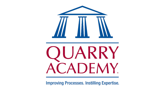

# QUARRY **ACADEMY**

**Improving Processes. Instilling Expertise.**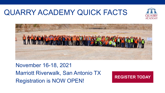# QUARRY ACADEMY QUICK FACTS





November 16-18, 2021 Marriott Riverwalk, San Antonio TX Registration is NOW OPEN!

### **[REGISTER TODAY](https://na.eventscloud.com/ereg/index.php?eventid=629855&categoryid=4101095)**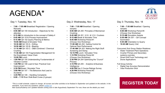# AGENDA\*

#### Day 1: Tuesday, Nov. 16

- **7:00 – 7:55 AM** Breakfast/ Registration / Opening Remarks
- **8:00 AM** QA 100 Introduction Objectives for the attendee
- 8:15 AM An introduction to the concept of Safety-II
- **8:45 AM** QA 101A Process Improvement
- **9:15 AM** QA 102 Quarry Planning & Metrics
- **10:00 AM** Break & Simulator Time
- **10:30 AM** QA 103 A Drilling
- **10:50 AM** QA 103 B Blasting
- **11:10 AM** QA 103 C D&B Combined / Chemical Crushing
- **11:30 AM** QA 104 Fragmentation Management for the Downstream Value Chain
- **12:00 PM** Lunch
- **1:00 PM** QA 105 Understanding Fundamentals of Vibration Control
- **1:45 PM** QA 106 Load & Haul: Practical Cost Improvement
- **2:30 PM** Break / Simulator Time
- **3:00 PM** QA 107 The Behaviors that Lead to **Accidents**
- **3:45 PM** QA 108 Handling Complaints
- **6:00 – 7:15** River Walk Boat Cruise (2 groups)

Day 2: Wednesday, Nov. 17

- **7:00 – 7:55 AM** Breakfast / Opening remarks
- **8:00 AM** QA 200 Principles of Mechanical Crushing
- **8:45 AM** QA 201 H.S.I. & V.S.I. Crushers
- **9:15 AM** Break & Simulator Time
- **9:45 AM** Workshop Period #1 (Choose One Workshop)
- **11:00 AM** QA 202 Getting Control for Optimal Plant Performance
- **11:40 AM** QA 203 Making the Right Stuff: Screening and Sizing
- **12:15 PM** Lunch / Simulator Time
- **1:15 PM** Workshop Period #2 (Choose One Workshop)
- **2:30 PM** QA 204 Optimizing the "Crunch" Process
- **3:15 PM** QA 205 Analytics & Business Intelligence
- **4:00 PM** Day 2 Course Ratings Survey
- **4:30 PM** Workshop Period #3 (Choose One Workshop)



#### Day 3: Thursday, Nov. 18

- **7:00 – 7:55 AM** Breakfast / Opening remarks
- **8:00 AM** Workshop Period #4 (Choose One Workshop)
- **9:15 AM** Simulation Awards
- **9:30 AM** QA 301 QA Concept Summation
- **9:45 AM** Orientation to Quarry
- **10:20 AM** Quarry Visit

Concurrent Sub Group Station Rotations:

- Water Treatment Plant Operations
- Crusher Primary and Secondary systems overview
- Smart Drill/Truck Technology and Drone Applications

Full Group Activity:

- Digital Cap Accuracy Demonstration
- View Production Shot

#### *\*This is a draft schedule, subject to change, all courses and other activities to be finalized in September and updated on the website. In the* **[REGISTER](https://na.eventscloud.com/ereg/index.php?eventid=629855&categoryid=4101095) TODAY** *meantime, if you have any questions, please [contact us](mailto:virginia.varela-eyre@sandvik.com).*

*New QuarryAcademy.com updated website coming soon in late August/early September! For now, these are the details you need.*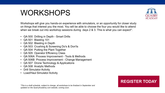# WORKSHOPS



Workshops will give you hands-on experience with simulators, or an opportunity for closer study on things that interest you the most. You will be able to choose the four you would like to attend when we break out into workshop sessions during days 2 & 3. This is what you can expect<sup>\*</sup>:

- QA 500 Drilling in Depth Smart Drills
- QA 501 Blasting 101
- QA 502 Blasting in Depth
- QA 503 Crushing & Screening Do's & Don'ts
- QA 504 Putting the Plant Together
- QA 505 Operator Efficiency Class
- QA 506A Process Improvement Tools & Methods
- QA 506B Process Improvement Change Management
- QA 507 Drone Technology & Applications
- QA 508 Analytic Methods
- Drill Simulator Activity
- Load/Haul Simulator Activity

#### **[REGISTER TODAY](https://na.eventscloud.com/ereg/index.php?eventid=629855&categoryid=4101095)**

*\*This is a draft schedule, subject to change, all workshops to be finalized in September and updated on the QuarryAcademy.com website, coming soon.*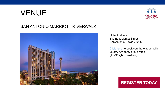# VENUE



#### SAN ANTONIO MARRIOTT RIVERWALK



Hotel Address: 889 East Market Street San Antonio, Texas 78205

[Click here](https://www.marriott.com/event-reservations/reservation-link.mi?id=1625762673979&key=GRP&app=resvlink) to book your hotel room with Quarry Academy group rates. (\$179/night + tax/fees)

**[REGISTER TODAY](https://na.eventscloud.com/ereg/index.php?eventid=629855&categoryid=4101095)**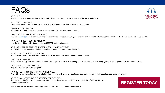### FAQs

WHEN IS IT? The 2021 Quarry Academy seminar will be Tuesday, November 16 – Thursday, November 18 in San Antonio, Texas.

WHEN CAN I REGISTER? Registration is now open! Click on the REGISTER TODAY button to register today and save your spot.

WHERE WILL IT BE HELD? The event will be held at the San Antonio Marriott Riverwalk Hotel in San Antonio, Texas.

HOW CAN I MAKE ROOM RESERVATIONS? You can [book a room](https://www.marriott.com/event-reservations/reservation-link.mi?id=1625762673979&key=GRP&app=resvlink) at the Marriott Riverwalk hotel and get the discounted Quarry Academy room block rate \$179/night plus taxes and fees. Deadline to get this rate is October 23.

HOW MUCH DOES IT COST TO ATTEND? It will be \$1950 if booked by September 30 and \$2250 if booked afterwards.

WHEN DO I NEED TO SELECT THE WORKSHOPS I WANT TO ATTEND? You will choose your workshops during the seminar, no need to register for them in advance.

WHAT IS INCLUDED WITH THE SEMINAR? This includes attendance to the 3-day course, a visit to the quarry, and meals during the seminar hours.

WHAT SHOULD I BRING? For the quarry visit, please bring steel toed boots. We will provide the rest of the safety gear. You may also want to bring a jacket as it often gets cool or rainy this time of year.

WHAT AIRPORT SHOULD I FLY INTO? The closest airport is San Antonio (SAT).

HOW DO I GET FROM THE AIRPORT TO THE HOTEL?

A taxi ride from the airport will take typically less than 30 minutes. There is no need to rent a car as we will provide all needed transportation for the week.

WHAT IF I AM LATE MAKING THE REGISTRATION PAYMENT?

There is a deadline for making registration payments. You will receive the deadline date along with the information on how to pay the registration fee.

*Please note, we will communicate any important precautions for COVID-19 closer to the event.* 



### **[REGISTER TODAY](https://na.eventscloud.com/ereg/index.php?eventid=629855&categoryid=4101095)**